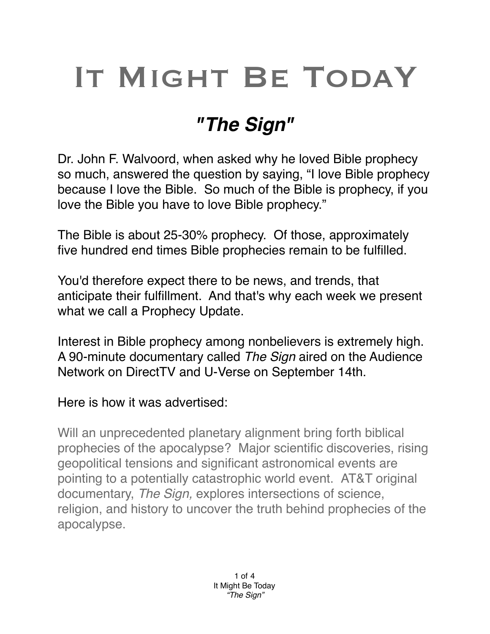## IT MIGHT BE TODAY

## *"The Sign"*

Dr. John F. Walvoord, when asked why he loved Bible prophecy so much, answered the question by saying, "I love Bible prophecy because I love the Bible. So much of the Bible is prophecy, if you love the Bible you have to love Bible prophecy."

The Bible is about 25-30% prophecy. Of those, approximately five hundred end times Bible prophecies remain to be fulfilled.

You'd therefore expect there to be news, and trends, that anticipate their fulfillment. And that's why each week we present what we call a Prophecy Update.

Interest in Bible prophecy among nonbelievers is extremely high. A 90-minute documentary called *The Sign* aired on the Audience Network on DirectTV and U-Verse on September 14th.

Here is how it was advertised:

Will an unprecedented planetary alignment bring forth biblical prophecies of the apocalypse? Major scientific discoveries, rising geopolitical tensions and significant astronomical events are pointing to a potentially catastrophic world event. AT&T original documentary, *The Sign,* explores intersections of science, religion, and history to uncover the truth behind prophecies of the apocalypse.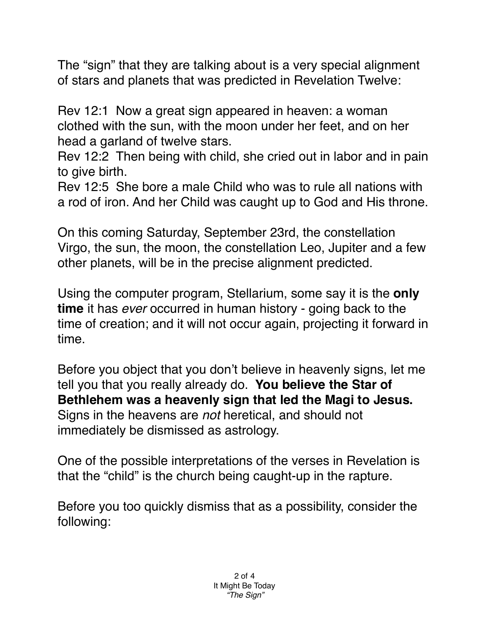The "sign" that they are talking about is a very special alignment of stars and planets that was predicted in Revelation Twelve:

Rev 12:1 Now a great sign appeared in heaven: a woman clothed with the sun, with the moon under her feet, and on her head a garland of twelve stars.

Rev 12:2 Then being with child, she cried out in labor and in pain to give birth.

Rev 12:5 She bore a male Child who was to rule all nations with a rod of iron. And her Child was caught up to God and His throne.

On this coming Saturday, September 23rd, the constellation Virgo, the sun, the moon, the constellation Leo, Jupiter and a few other planets, will be in the precise alignment predicted.

Using the computer program, Stellarium, some say it is the **only time** it has *ever* occurred in human history - going back to the time of creation; and it will not occur again, projecting it forward in time.

Before you object that you don't believe in heavenly signs, let me tell you that you really already do. **You believe the Star of Bethlehem was a heavenly sign that led the Magi to Jesus.** Signs in the heavens are *not* heretical, and should not immediately be dismissed as astrology.

One of the possible interpretations of the verses in Revelation is that the "child" is the church being caught-up in the rapture.

Before you too quickly dismiss that as a possibility, consider the following: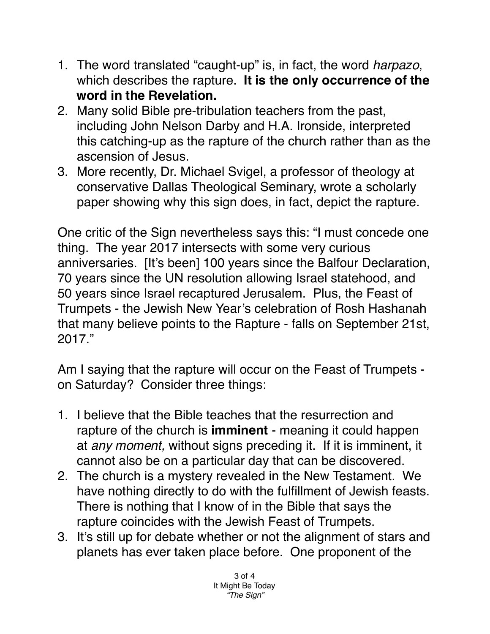- 1. The word translated "caught-up" is, in fact, the word *harpazo*, which describes the rapture. **It is the only occurrence of the word in the Revelation.**
- 2. Many solid Bible pre-tribulation teachers from the past, including John Nelson Darby and H.A. Ironside, interpreted this catching-up as the rapture of the church rather than as the ascension of Jesus.
- 3. More recently, Dr. Michael Svigel, a professor of theology at conservative Dallas Theological Seminary, wrote a scholarly paper showing why this sign does, in fact, depict the rapture.

One critic of the Sign nevertheless says this: "I must concede one thing. The year 2017 intersects with some very curious anniversaries. [It's been] 100 years since the Balfour Declaration, 70 years since the UN resolution allowing Israel statehood, and 50 years since Israel recaptured Jerusalem. Plus, the Feast of Trumpets - the Jewish New Year's celebration of Rosh Hashanah that many believe points to the Rapture - falls on September 21st, 2017."

Am I saying that the rapture will occur on the Feast of Trumpets on Saturday? Consider three things:

- 1. I believe that the Bible teaches that the resurrection and rapture of the church is **imminent** - meaning it could happen at *any moment,* without signs preceding it. If it is imminent, it cannot also be on a particular day that can be discovered.
- 2. The church is a mystery revealed in the New Testament. We have nothing directly to do with the fulfillment of Jewish feasts. There is nothing that I know of in the Bible that says the rapture coincides with the Jewish Feast of Trumpets.
- 3. It's still up for debate whether or not the alignment of stars and planets has ever taken place before. One proponent of the